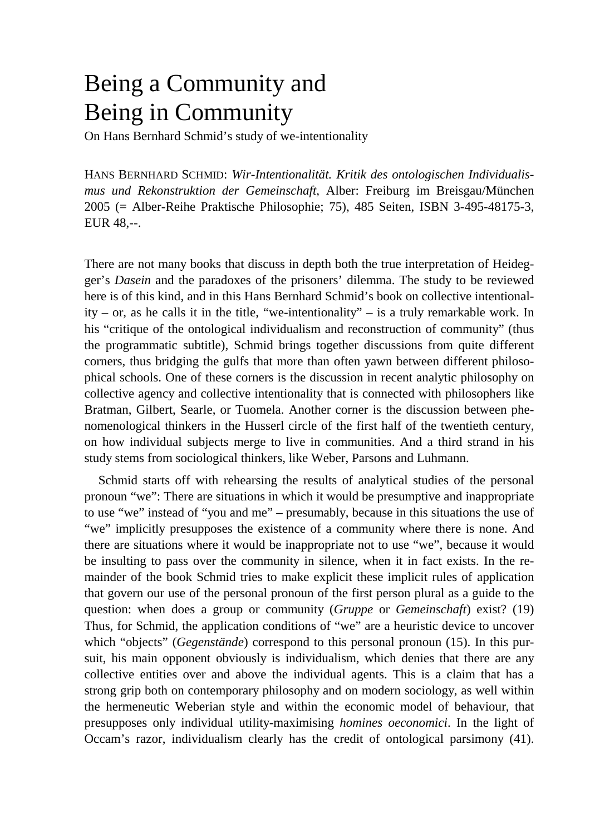## Being a Community and Being in Community

On Hans Bernhard Schmid's study of we-intentionality

HANS BERNHARD SCHMID: *Wir-Intentionalität. Kritik des ontologischen Individualismus und Rekonstruktion der Gemeinschaft*, Alber: Freiburg im Breisgau/München 2005 (= Alber-Reihe Praktische Philosophie; 75), 485 Seiten, ISBN 3-495-48175-3, EUR 48,--.

There are not many books that discuss in depth both the true interpretation of Heidegger's *Dasein* and the paradoxes of the prisoners' dilemma. The study to be reviewed here is of this kind, and in this Hans Bernhard Schmid's book on collective intentionality – or, as he calls it in the title, "we-intentionality" – is a truly remarkable work. In his "critique of the ontological individualism and reconstruction of community" (thus the programmatic subtitle), Schmid brings together discussions from quite different corners, thus bridging the gulfs that more than often yawn between different philosophical schools. One of these corners is the discussion in recent analytic philosophy on collective agency and collective intentionality that is connected with philosophers like Bratman, Gilbert, Searle, or Tuomela. Another corner is the discussion between phenomenological thinkers in the Husserl circle of the first half of the twentieth century, on how individual subjects merge to live in communities. And a third strand in his study stems from sociological thinkers, like Weber, Parsons and Luhmann.

Schmid starts off with rehearsing the results of analytical studies of the personal pronoun "we": There are situations in which it would be presumptive and inappropriate to use "we" instead of "you and me" – presumably, because in this situations the use of "we" implicitly presupposes the existence of a community where there is none. And there are situations where it would be inappropriate not to use "we", because it would be insulting to pass over the community in silence, when it in fact exists. In the remainder of the book Schmid tries to make explicit these implicit rules of application that govern our use of the personal pronoun of the first person plural as a guide to the question: when does a group or community (*Gruppe* or *Gemeinschaft*) exist? (19) Thus, for Schmid, the application conditions of "we" are a heuristic device to uncover which "objects" (*Gegenstände*) correspond to this personal pronoun (15). In this pursuit, his main opponent obviously is individualism, which denies that there are any collective entities over and above the individual agents. This is a claim that has a strong grip both on contemporary philosophy and on modern sociology, as well within the hermeneutic Weberian style and within the economic model of behaviour, that presupposes only individual utility-maximising *homines oeconomici*. In the light of Occam's razor, individualism clearly has the credit of ontological parsimony (41).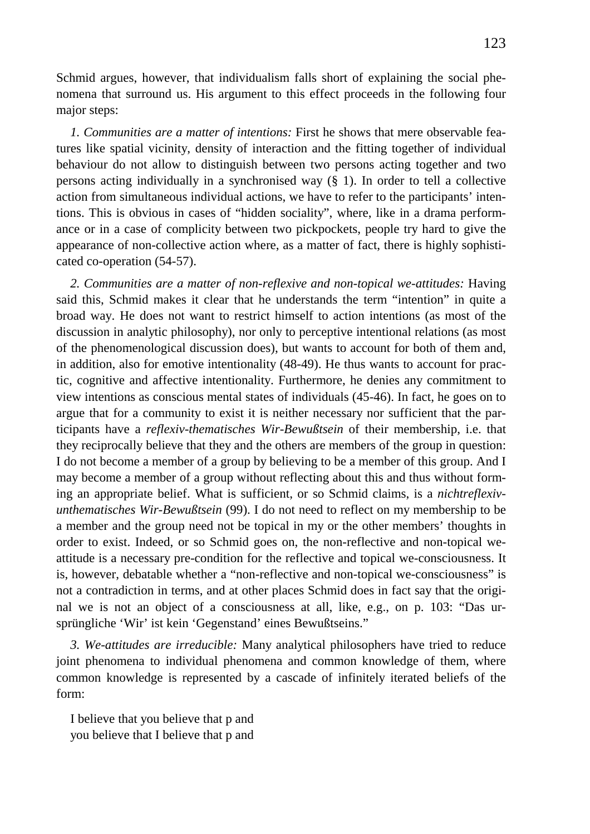Schmid argues, however, that individualism falls short of explaining the social phenomena that surround us. His argument to this effect proceeds in the following four major steps:

*1. Communities are a matter of intentions:* First he shows that mere observable features like spatial vicinity, density of interaction and the fitting together of individual behaviour do not allow to distinguish between two persons acting together and two persons acting individually in a synchronised way (§ 1). In order to tell a collective action from simultaneous individual actions, we have to refer to the participants' intentions. This is obvious in cases of "hidden sociality", where, like in a drama performance or in a case of complicity between two pickpockets, people try hard to give the appearance of non-collective action where, as a matter of fact, there is highly sophisticated co-operation (54-57).

*2. Communities are a matter of non-reflexive and non-topical we-attitudes:* Having said this, Schmid makes it clear that he understands the term "intention" in quite a broad way. He does not want to restrict himself to action intentions (as most of the discussion in analytic philosophy), nor only to perceptive intentional relations (as most of the phenomenological discussion does), but wants to account for both of them and, in addition, also for emotive intentionality (48-49). He thus wants to account for practic, cognitive and affective intentionality. Furthermore, he denies any commitment to view intentions as conscious mental states of individuals (45-46). In fact, he goes on to argue that for a community to exist it is neither necessary nor sufficient that the participants have a *reflexiv-thematisches Wir-Bewußtsein* of their membership, i.e. that they reciprocally believe that they and the others are members of the group in question: I do not become a member of a group by believing to be a member of this group. And I may become a member of a group without reflecting about this and thus without forming an appropriate belief. What is sufficient, or so Schmid claims, is a *nichtreflexivunthematisches Wir-Bewußtsein* (99). I do not need to reflect on my membership to be a member and the group need not be topical in my or the other members' thoughts in order to exist. Indeed, or so Schmid goes on, the non-reflective and non-topical weattitude is a necessary pre-condition for the reflective and topical we-consciousness. It is, however, debatable whether a "non-reflective and non-topical we-consciousness" is not a contradiction in terms, and at other places Schmid does in fact say that the original we is not an object of a consciousness at all, like, e.g., on p. 103: "Das ursprüngliche 'Wir' ist kein 'Gegenstand' eines Bewußtseins."

*3. We-attitudes are irreducible:* Many analytical philosophers have tried to reduce joint phenomena to individual phenomena and common knowledge of them, where common knowledge is represented by a cascade of infinitely iterated beliefs of the form:

I believe that you believe that p and you believe that I believe that p and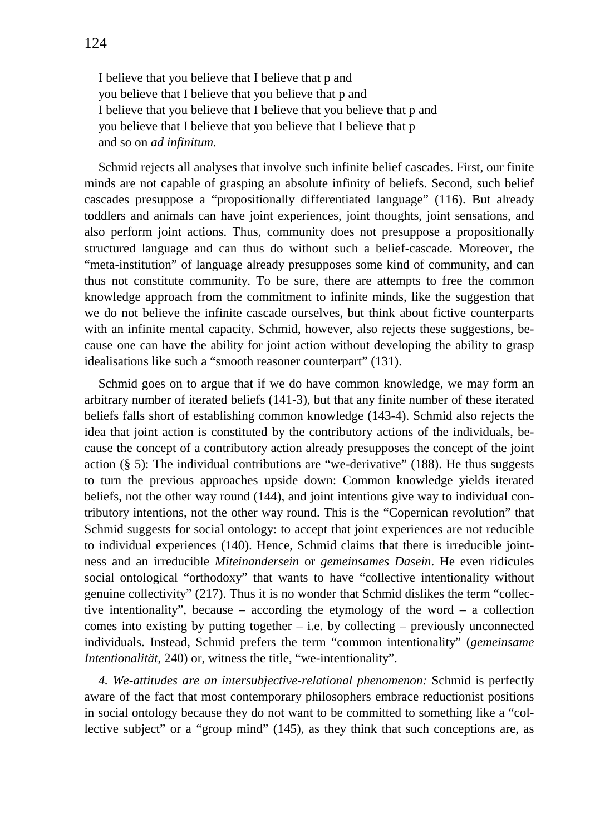I believe that you believe that I believe that p and you believe that I believe that you believe that p and I believe that you believe that I believe that you believe that p and you believe that I believe that you believe that I believe that p and so on *ad infinitum.*

Schmid rejects all analyses that involve such infinite belief cascades. First, our finite minds are not capable of grasping an absolute infinity of beliefs. Second, such belief cascades presuppose a "propositionally differentiated language" (116). But already toddlers and animals can have joint experiences, joint thoughts, joint sensations, and also perform joint actions. Thus, community does not presuppose a propositionally structured language and can thus do without such a belief-cascade. Moreover, the "meta-institution" of language already presupposes some kind of community, and can thus not constitute community. To be sure, there are attempts to free the common knowledge approach from the commitment to infinite minds, like the suggestion that we do not believe the infinite cascade ourselves, but think about fictive counterparts with an infinite mental capacity. Schmid, however, also rejects these suggestions, because one can have the ability for joint action without developing the ability to grasp idealisations like such a "smooth reasoner counterpart" (131).

Schmid goes on to argue that if we do have common knowledge, we may form an arbitrary number of iterated beliefs (141-3), but that any finite number of these iterated beliefs falls short of establishing common knowledge (143-4). Schmid also rejects the idea that joint action is constituted by the contributory actions of the individuals, because the concept of a contributory action already presupposes the concept of the joint action (§ 5): The individual contributions are "we-derivative" (188). He thus suggests to turn the previous approaches upside down: Common knowledge yields iterated beliefs, not the other way round (144), and joint intentions give way to individual contributory intentions, not the other way round. This is the "Copernican revolution" that Schmid suggests for social ontology: to accept that joint experiences are not reducible to individual experiences (140). Hence, Schmid claims that there is irreducible jointness and an irreducible *Miteinandersein* or *gemeinsames Dasein*. He even ridicules social ontological "orthodoxy" that wants to have "collective intentionality without genuine collectivity" (217). Thus it is no wonder that Schmid dislikes the term "collective intentionality", because – according the etymology of the word – a collection comes into existing by putting together  $-$  i.e. by collecting  $-$  previously unconnected individuals. Instead, Schmid prefers the term "common intentionality" (*gemeinsame Intentionalität*, 240) or, witness the title, "we-intentionality".

*4. We-attitudes are an intersubjective-relational phenomenon:* Schmid is perfectly aware of the fact that most contemporary philosophers embrace reductionist positions in social ontology because they do not want to be committed to something like a "collective subject" or a "group mind" (145), as they think that such conceptions are, as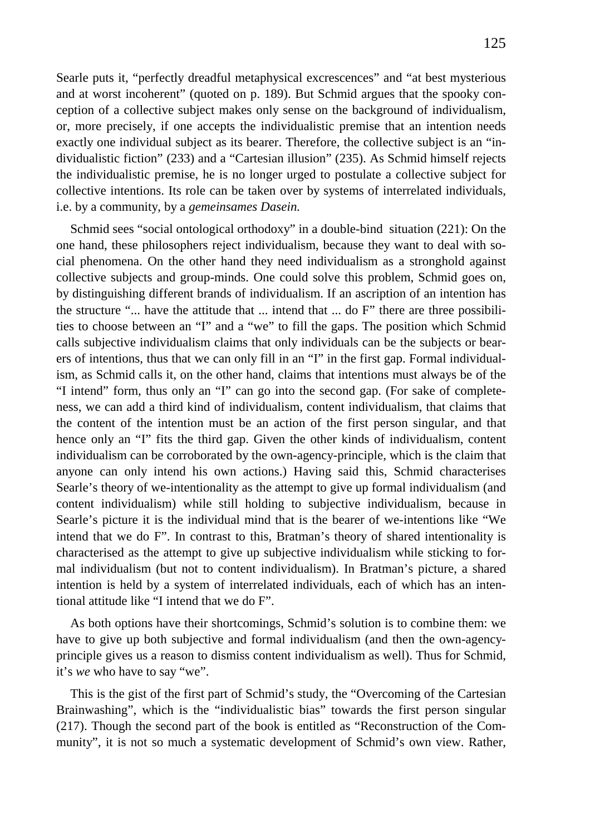Searle puts it, "perfectly dreadful metaphysical excrescences" and "at best mysterious and at worst incoherent" (quoted on p. 189). But Schmid argues that the spooky conception of a collective subject makes only sense on the background of individualism, or, more precisely, if one accepts the individualistic premise that an intention needs exactly one individual subject as its bearer. Therefore, the collective subject is an "individualistic fiction" (233) and a "Cartesian illusion" (235). As Schmid himself rejects the individualistic premise, he is no longer urged to postulate a collective subject for collective intentions. Its role can be taken over by systems of interrelated individuals, i.e. by a community, by a *gemeinsames Dasein.*

Schmid sees "social ontological orthodoxy" in a double-bind situation (221): On the one hand, these philosophers reject individualism, because they want to deal with social phenomena. On the other hand they need individualism as a stronghold against collective subjects and group-minds. One could solve this problem, Schmid goes on, by distinguishing different brands of individualism. If an ascription of an intention has the structure "... have the attitude that ... intend that ... do F" there are three possibilities to choose between an "I" and a "we" to fill the gaps. The position which Schmid calls subjective individualism claims that only individuals can be the subjects or bearers of intentions, thus that we can only fill in an "I" in the first gap. Formal individualism, as Schmid calls it, on the other hand, claims that intentions must always be of the "I intend" form, thus only an "I" can go into the second gap. (For sake of completeness, we can add a third kind of individualism, content individualism, that claims that the content of the intention must be an action of the first person singular, and that hence only an "I" fits the third gap. Given the other kinds of individualism, content individualism can be corroborated by the own-agency-principle, which is the claim that anyone can only intend his own actions.) Having said this, Schmid characterises Searle's theory of we-intentionality as the attempt to give up formal individualism (and content individualism) while still holding to subjective individualism, because in Searle's picture it is the individual mind that is the bearer of we-intentions like "We intend that we do F". In contrast to this, Bratman's theory of shared intentionality is characterised as the attempt to give up subjective individualism while sticking to formal individualism (but not to content individualism). In Bratman's picture, a shared intention is held by a system of interrelated individuals, each of which has an intentional attitude like "I intend that we do F".

As both options have their shortcomings, Schmid's solution is to combine them: we have to give up both subjective and formal individualism (and then the own-agencyprinciple gives us a reason to dismiss content individualism as well). Thus for Schmid, it's *we* who have to say "we".

This is the gist of the first part of Schmid's study, the "Overcoming of the Cartesian Brainwashing", which is the "individualistic bias" towards the first person singular (217). Though the second part of the book is entitled as "Reconstruction of the Community", it is not so much a systematic development of Schmid's own view. Rather,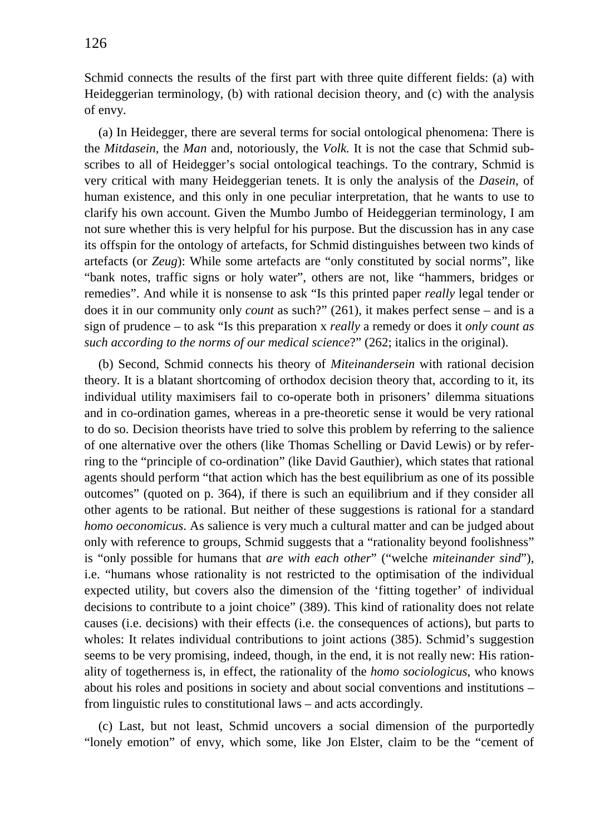Schmid connects the results of the first part with three quite different fields: (a) with Heideggerian terminology, (b) with rational decision theory, and (c) with the analysis of envy.

(a) In Heidegger, there are several terms for social ontological phenomena: There is the *Mitdasein,* the *Man* and, notoriously, the *Volk.* It is not the case that Schmid subscribes to all of Heidegger's social ontological teachings. To the contrary, Schmid is very critical with many Heideggerian tenets. It is only the analysis of the *Dasein*, of human existence, and this only in one peculiar interpretation, that he wants to use to clarify his own account. Given the Mumbo Jumbo of Heideggerian terminology, I am not sure whether this is very helpful for his purpose. But the discussion has in any case its offspin for the ontology of artefacts, for Schmid distinguishes between two kinds of artefacts (or *Zeug*): While some artefacts are "only constituted by social norms", like "bank notes, traffic signs or holy water", others are not, like "hammers, bridges or remedies". And while it is nonsense to ask "Is this printed paper *really* legal tender or does it in our community only *count* as such?" (261), it makes perfect sense – and is a sign of prudence – to ask "Is this preparation x *really* a remedy or does it *only count as such according to the norms of our medical science*?" (262; italics in the original).

(b) Second, Schmid connects his theory of *Miteinandersein* with rational decision theory. It is a blatant shortcoming of orthodox decision theory that, according to it, its individual utility maximisers fail to co-operate both in prisoners' dilemma situations and in co-ordination games, whereas in a pre-theoretic sense it would be very rational to do so. Decision theorists have tried to solve this problem by referring to the salience of one alternative over the others (like Thomas Schelling or David Lewis) or by referring to the "principle of co-ordination" (like David Gauthier), which states that rational agents should perform "that action which has the best equilibrium as one of its possible outcomes" (quoted on p. 364), if there is such an equilibrium and if they consider all other agents to be rational. But neither of these suggestions is rational for a standard *homo oeconomicus*. As salience is very much a cultural matter and can be judged about only with reference to groups, Schmid suggests that a "rationality beyond foolishness" is "only possible for humans that *are with each other*" ("welche *miteinander sind*"), i.e. "humans whose rationality is not restricted to the optimisation of the individual expected utility, but covers also the dimension of the 'fitting together' of individual decisions to contribute to a joint choice" (389). This kind of rationality does not relate causes (i.e. decisions) with their effects (i.e. the consequences of actions), but parts to wholes: It relates individual contributions to joint actions (385). Schmid's suggestion seems to be very promising, indeed, though, in the end, it is not really new: His rationality of togetherness is, in effect, the rationality of the *homo sociologicus*, who knows about his roles and positions in society and about social conventions and institutions – from linguistic rules to constitutional laws – and acts accordingly.

(c) Last, but not least, Schmid uncovers a social dimension of the purportedly "lonely emotion" of envy, which some, like Jon Elster, claim to be the "cement of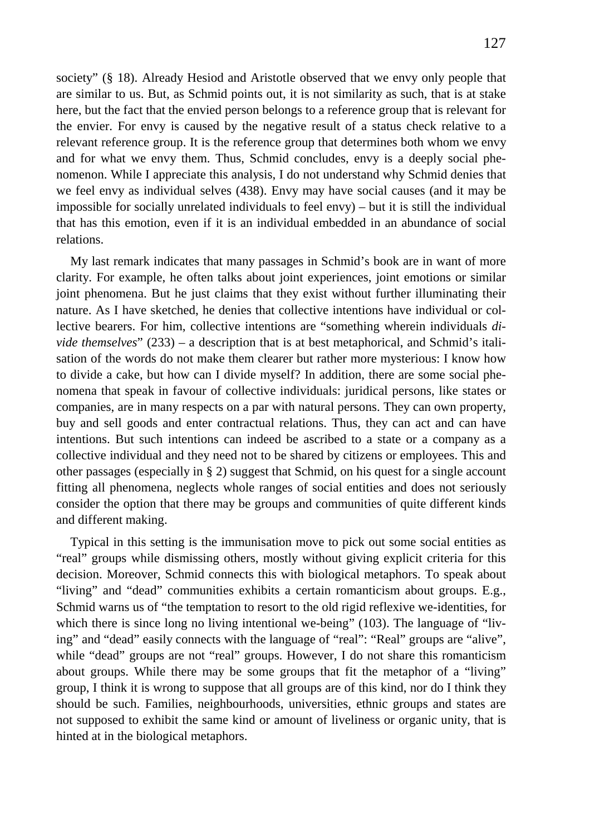society" (§ 18). Already Hesiod and Aristotle observed that we envy only people that are similar to us. But, as Schmid points out, it is not similarity as such, that is at stake here, but the fact that the envied person belongs to a reference group that is relevant for the envier. For envy is caused by the negative result of a status check relative to a relevant reference group. It is the reference group that determines both whom we envy and for what we envy them. Thus, Schmid concludes, envy is a deeply social phenomenon. While I appreciate this analysis, I do not understand why Schmid denies that we feel envy as individual selves (438). Envy may have social causes (and it may be impossible for socially unrelated individuals to feel envy) – but it is still the individual that has this emotion, even if it is an individual embedded in an abundance of social relations.

My last remark indicates that many passages in Schmid's book are in want of more clarity. For example, he often talks about joint experiences, joint emotions or similar joint phenomena. But he just claims that they exist without further illuminating their nature. As I have sketched, he denies that collective intentions have individual or collective bearers. For him, collective intentions are "something wherein individuals *divide themselves*" (233) – a description that is at best metaphorical, and Schmid's italisation of the words do not make them clearer but rather more mysterious: I know how to divide a cake, but how can I divide myself? In addition, there are some social phenomena that speak in favour of collective individuals: juridical persons, like states or companies, are in many respects on a par with natural persons. They can own property, buy and sell goods and enter contractual relations. Thus, they can act and can have intentions. But such intentions can indeed be ascribed to a state or a company as a collective individual and they need not to be shared by citizens or employees. This and other passages (especially in § 2) suggest that Schmid, on his quest for a single account fitting all phenomena, neglects whole ranges of social entities and does not seriously consider the option that there may be groups and communities of quite different kinds and different making.

Typical in this setting is the immunisation move to pick out some social entities as "real" groups while dismissing others, mostly without giving explicit criteria for this decision. Moreover, Schmid connects this with biological metaphors. To speak about "living" and "dead" communities exhibits a certain romanticism about groups. E.g., Schmid warns us of "the temptation to resort to the old rigid reflexive we-identities, for which there is since long no living intentional we-being" (103). The language of "living" and "dead" easily connects with the language of "real": "Real" groups are "alive", while "dead" groups are not "real" groups. However, I do not share this romanticism about groups. While there may be some groups that fit the metaphor of a "living" group, I think it is wrong to suppose that all groups are of this kind, nor do I think they should be such. Families, neighbourhoods, universities, ethnic groups and states are not supposed to exhibit the same kind or amount of liveliness or organic unity, that is hinted at in the biological metaphors.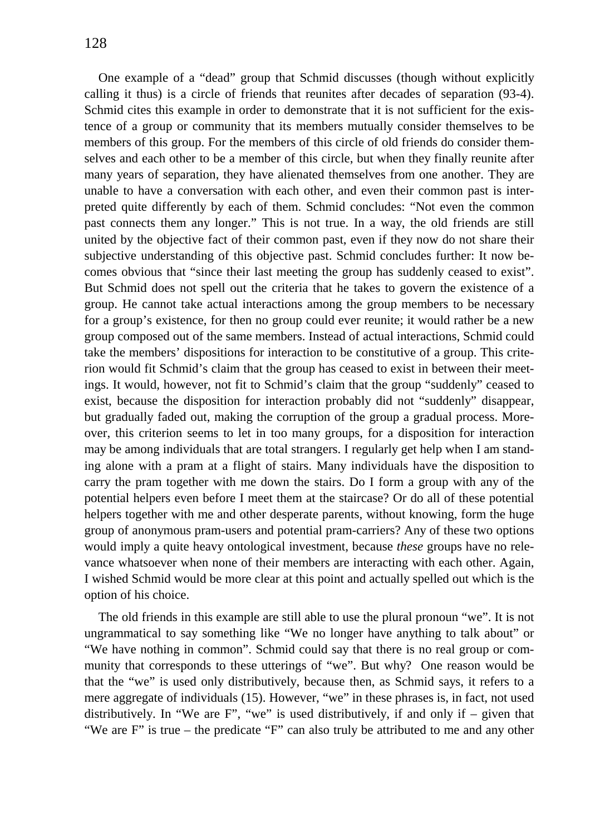One example of a "dead" group that Schmid discusses (though without explicitly calling it thus) is a circle of friends that reunites after decades of separation (93-4). Schmid cites this example in order to demonstrate that it is not sufficient for the existence of a group or community that its members mutually consider themselves to be members of this group. For the members of this circle of old friends do consider themselves and each other to be a member of this circle, but when they finally reunite after many years of separation, they have alienated themselves from one another. They are unable to have a conversation with each other, and even their common past is interpreted quite differently by each of them. Schmid concludes: "Not even the common past connects them any longer." This is not true. In a way, the old friends are still united by the objective fact of their common past, even if they now do not share their subjective understanding of this objective past. Schmid concludes further: It now becomes obvious that "since their last meeting the group has suddenly ceased to exist". But Schmid does not spell out the criteria that he takes to govern the existence of a group. He cannot take actual interactions among the group members to be necessary for a group's existence, for then no group could ever reunite; it would rather be a new group composed out of the same members. Instead of actual interactions, Schmid could take the members' dispositions for interaction to be constitutive of a group. This criterion would fit Schmid's claim that the group has ceased to exist in between their meetings. It would, however, not fit to Schmid's claim that the group "suddenly" ceased to exist, because the disposition for interaction probably did not "suddenly" disappear, but gradually faded out, making the corruption of the group a gradual process. Moreover, this criterion seems to let in too many groups, for a disposition for interaction may be among individuals that are total strangers. I regularly get help when I am standing alone with a pram at a flight of stairs. Many individuals have the disposition to carry the pram together with me down the stairs. Do I form a group with any of the potential helpers even before I meet them at the staircase? Or do all of these potential helpers together with me and other desperate parents, without knowing, form the huge group of anonymous pram-users and potential pram-carriers? Any of these two options would imply a quite heavy ontological investment, because *these* groups have no relevance whatsoever when none of their members are interacting with each other. Again, I wished Schmid would be more clear at this point and actually spelled out which is the option of his choice.

The old friends in this example are still able to use the plural pronoun "we". It is not ungrammatical to say something like "We no longer have anything to talk about" or "We have nothing in common". Schmid could say that there is no real group or community that corresponds to these utterings of "we". But why? One reason would be that the "we" is used only distributively, because then, as Schmid says, it refers to a mere aggregate of individuals (15). However, "we" in these phrases is, in fact, not used distributively. In "We are F", "we" is used distributively, if and only if  $-$  given that "We are F" is true – the predicate "F" can also truly be attributed to me and any other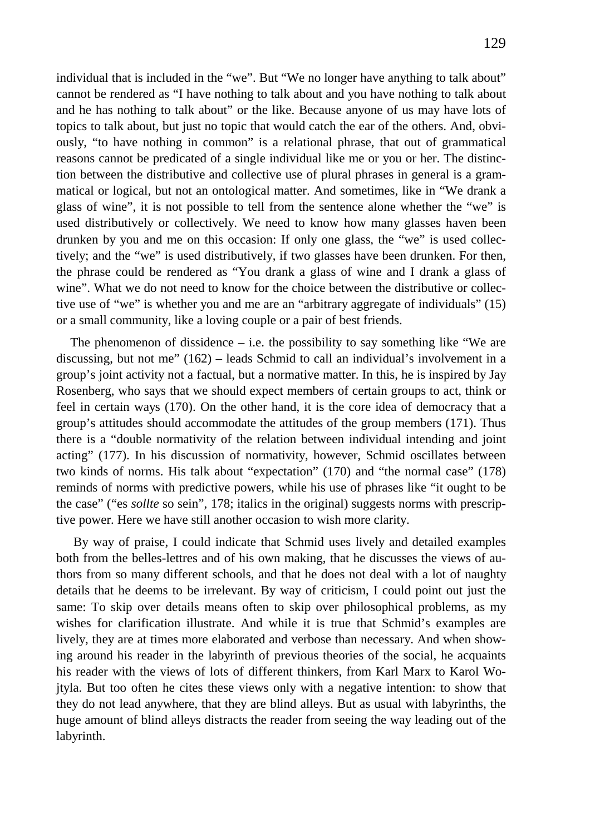individual that is included in the "we". But "We no longer have anything to talk about" cannot be rendered as "I have nothing to talk about and you have nothing to talk about and he has nothing to talk about" or the like. Because anyone of us may have lots of topics to talk about, but just no topic that would catch the ear of the others. And, obviously, "to have nothing in common" is a relational phrase, that out of grammatical reasons cannot be predicated of a single individual like me or you or her. The distinction between the distributive and collective use of plural phrases in general is a grammatical or logical, but not an ontological matter. And sometimes, like in "We drank a glass of wine", it is not possible to tell from the sentence alone whether the "we" is used distributively or collectively. We need to know how many glasses haven been drunken by you and me on this occasion: If only one glass, the "we" is used collectively; and the "we" is used distributively, if two glasses have been drunken. For then, the phrase could be rendered as "You drank a glass of wine and I drank a glass of wine". What we do not need to know for the choice between the distributive or collective use of "we" is whether you and me are an "arbitrary aggregate of individuals" (15) or a small community, like a loving couple or a pair of best friends.

The phenomenon of dissidence  $-$  i.e. the possibility to say something like "We are discussing, but not me" (162) – leads Schmid to call an individual's involvement in a group's joint activity not a factual, but a normative matter. In this, he is inspired by Jay Rosenberg, who says that we should expect members of certain groups to act, think or feel in certain ways (170). On the other hand, it is the core idea of democracy that a group's attitudes should accommodate the attitudes of the group members (171). Thus there is a "double normativity of the relation between individual intending and joint acting" (177). In his discussion of normativity, however, Schmid oscillates between two kinds of norms. His talk about "expectation" (170) and "the normal case" (178) reminds of norms with predictive powers, while his use of phrases like "it ought to be the case" ("es *sollte* so sein", 178; italics in the original) suggests norms with prescriptive power. Here we have still another occasion to wish more clarity.

 By way of praise, I could indicate that Schmid uses lively and detailed examples both from the belles-lettres and of his own making, that he discusses the views of authors from so many different schools, and that he does not deal with a lot of naughty details that he deems to be irrelevant. By way of criticism, I could point out just the same: To skip over details means often to skip over philosophical problems, as my wishes for clarification illustrate. And while it is true that Schmid's examples are lively, they are at times more elaborated and verbose than necessary. And when showing around his reader in the labyrinth of previous theories of the social, he acquaints his reader with the views of lots of different thinkers, from Karl Marx to Karol Wojtyla. But too often he cites these views only with a negative intention: to show that they do not lead anywhere, that they are blind alleys. But as usual with labyrinths, the huge amount of blind alleys distracts the reader from seeing the way leading out of the labyrinth.